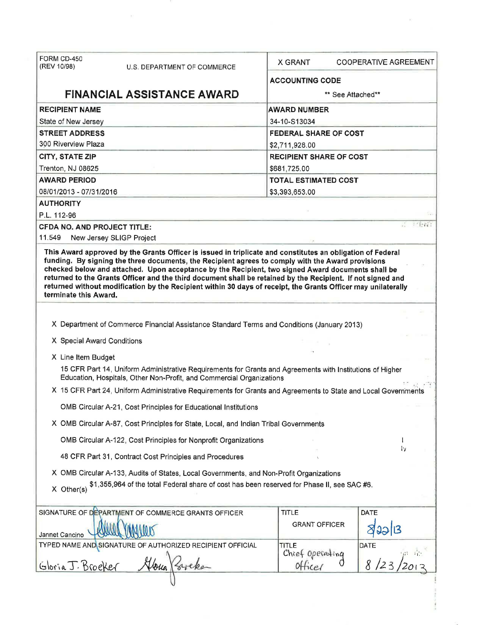| FORM CD-450<br>(REV 10/98)                                                                                                                                                                                                                                                                                                                                                                                                                                      | U.S. DEPARTMENT OF COMMERCE                                                                                    | <b>X GRANT</b>                 | <b>COOPERATIVE AGREEMENT</b> |  |  |
|-----------------------------------------------------------------------------------------------------------------------------------------------------------------------------------------------------------------------------------------------------------------------------------------------------------------------------------------------------------------------------------------------------------------------------------------------------------------|----------------------------------------------------------------------------------------------------------------|--------------------------------|------------------------------|--|--|
|                                                                                                                                                                                                                                                                                                                                                                                                                                                                 |                                                                                                                | <b>ACCOUNTING CODE</b>         |                              |  |  |
|                                                                                                                                                                                                                                                                                                                                                                                                                                                                 | <b>FINANCIAL ASSISTANCE AWARD</b>                                                                              | ** See Attached**              |                              |  |  |
| <b>RECIPIENT NAME</b>                                                                                                                                                                                                                                                                                                                                                                                                                                           |                                                                                                                | <b>AWARD NUMBER</b>            |                              |  |  |
| State of New Jersey                                                                                                                                                                                                                                                                                                                                                                                                                                             |                                                                                                                | 34-10-S13034                   |                              |  |  |
| <b>STREET ADDRESS</b>                                                                                                                                                                                                                                                                                                                                                                                                                                           |                                                                                                                | FEDERAL SHARE OF COST          |                              |  |  |
| 300 Riverview Plaza                                                                                                                                                                                                                                                                                                                                                                                                                                             |                                                                                                                | \$2,711,928.00                 |                              |  |  |
| <b>CITY, STATE ZIP</b>                                                                                                                                                                                                                                                                                                                                                                                                                                          |                                                                                                                | <b>RECIPIENT SHARE OF COST</b> |                              |  |  |
| Trenton, NJ 08625                                                                                                                                                                                                                                                                                                                                                                                                                                               |                                                                                                                | \$681,725.00                   |                              |  |  |
| <b>AWARD PERIOD</b>                                                                                                                                                                                                                                                                                                                                                                                                                                             |                                                                                                                | <b>TOTAL ESTIMATED COST</b>    |                              |  |  |
| 08/01/2013 - 07/31/2016                                                                                                                                                                                                                                                                                                                                                                                                                                         |                                                                                                                | \$3,393,653.00                 |                              |  |  |
| <b>AUTHORITY</b>                                                                                                                                                                                                                                                                                                                                                                                                                                                |                                                                                                                |                                |                              |  |  |
| P.L. 112-96                                                                                                                                                                                                                                                                                                                                                                                                                                                     |                                                                                                                |                                |                              |  |  |
| <b>CFDA NO. AND PROJECT TITLE:</b>                                                                                                                                                                                                                                                                                                                                                                                                                              |                                                                                                                |                                | <b>STORE</b>                 |  |  |
| 11.549<br>New Jersey SLIGP Project                                                                                                                                                                                                                                                                                                                                                                                                                              |                                                                                                                |                                |                              |  |  |
| funding. By signing the three documents, the Recipient agrees to comply with the Award provisions<br>checked below and attached. Upon acceptance by the Recipient, two signed Award documents shall be<br>returned to the Grants Officer and the third document shall be retained by the Recipient. If not signed and<br>returned without modification by the Recipient within 30 days of receipt, the Grants Officer may unilaterally<br>terminate this Award. |                                                                                                                |                                |                              |  |  |
|                                                                                                                                                                                                                                                                                                                                                                                                                                                                 |                                                                                                                |                                |                              |  |  |
|                                                                                                                                                                                                                                                                                                                                                                                                                                                                 | X Department of Commerce Financial Assistance Standard Terms and Conditions (January 2013)                     |                                |                              |  |  |
| X Special Award Conditions                                                                                                                                                                                                                                                                                                                                                                                                                                      |                                                                                                                |                                |                              |  |  |
|                                                                                                                                                                                                                                                                                                                                                                                                                                                                 |                                                                                                                |                                |                              |  |  |
| X Line Item Budget                                                                                                                                                                                                                                                                                                                                                                                                                                              |                                                                                                                |                                |                              |  |  |
| 15 CFR Part 14, Uniform Administrative Requirements for Grants and Agreements with Institutions of Higher<br>Education, Hospitals, Other Non-Profit, and Commercial Organizations                                                                                                                                                                                                                                                                               |                                                                                                                |                                |                              |  |  |
|                                                                                                                                                                                                                                                                                                                                                                                                                                                                 | X 15 CFR Part 24, Uniform Administrative Requirements for Grants and Agreements to State and Local Governments |                                |                              |  |  |
|                                                                                                                                                                                                                                                                                                                                                                                                                                                                 | OMB Circular A-21, Cost Principles for Educational Institutions                                                |                                |                              |  |  |
|                                                                                                                                                                                                                                                                                                                                                                                                                                                                 |                                                                                                                |                                |                              |  |  |
|                                                                                                                                                                                                                                                                                                                                                                                                                                                                 | X OMB Circular A-87, Cost Principles for State, Local, and Indian Tribal Governments                           |                                |                              |  |  |
|                                                                                                                                                                                                                                                                                                                                                                                                                                                                 | OMB Circular A-122, Cost Principles for Nonprofit Organizations                                                |                                |                              |  |  |
|                                                                                                                                                                                                                                                                                                                                                                                                                                                                 | 48 CFR Part 31, Contract Cost Principles and Procedures                                                        |                                | Tγ                           |  |  |
| X OMB Circular A-133, Audits of States, Local Governments, and Non-Profit Organizations                                                                                                                                                                                                                                                                                                                                                                         |                                                                                                                |                                |                              |  |  |
| \$1,355,964 of the total Federal share of cost has been reserved for Phase II, see SAC #6.<br>X Other(s)                                                                                                                                                                                                                                                                                                                                                        |                                                                                                                |                                |                              |  |  |
|                                                                                                                                                                                                                                                                                                                                                                                                                                                                 |                                                                                                                |                                |                              |  |  |
|                                                                                                                                                                                                                                                                                                                                                                                                                                                                 | SIGNATURE OF DEPARTMENT OF COMMERCE GRANTS OFFICER                                                             | <b>TITLE</b>                   | DATE                         |  |  |
|                                                                                                                                                                                                                                                                                                                                                                                                                                                                 |                                                                                                                | <b>GRANT OFFICER</b>           |                              |  |  |
| Jannet Cancino                                                                                                                                                                                                                                                                                                                                                                                                                                                  |                                                                                                                |                                |                              |  |  |
|                                                                                                                                                                                                                                                                                                                                                                                                                                                                 | TYPED NAME AND SIGNATURE OF AUTHORIZED RECIPIENT OFFICIAL                                                      | TITLE                          | DATE                         |  |  |
|                                                                                                                                                                                                                                                                                                                                                                                                                                                                 |                                                                                                                | Chief operating                |                              |  |  |
| Gloria J. Broeker                                                                                                                                                                                                                                                                                                                                                                                                                                               |                                                                                                                | office                         |                              |  |  |
|                                                                                                                                                                                                                                                                                                                                                                                                                                                                 |                                                                                                                |                                |                              |  |  |

 $\tilde{\Sigma}$